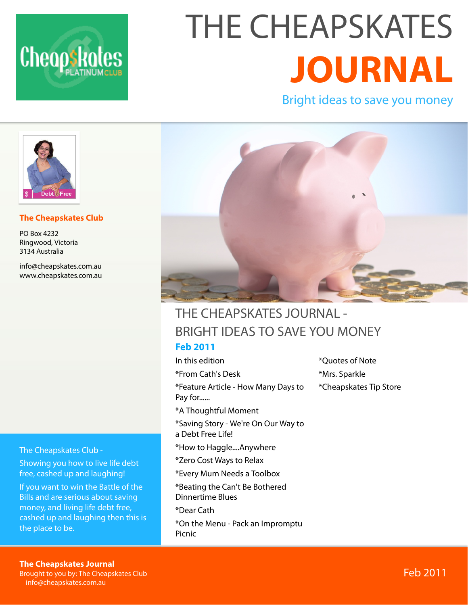

# THE CHEAPSKATES **JOURNAL**

Bright ideas to save you money



#### **The Cheapskates Club**

PO Box 4232 Ringwood, Victoria 3134 Australia

[info@cheapskates.com.au](mailto:info@cheapskates.com.au) [www.cheapskates.com.au](http://www.cheapskates.com.au)

The Cheapskates Club -

Showing you how to live life debt free, cashed up and laughing!

If you want to win the Battle of the Bills and are serious about saving money, and living life debt free, cashed up and laughing then this is the place to be.



#### THE CHEAPSKATES JOURNAL - BRIGHT IDEAS TO SAVE YOU MONEY **Feb 2011**

In this edition \*From Cath's Desk \*Feature Article - How Many Days to Pay for...... \*A Thoughtful Moment \*Saving Story - We're On Our Way to a Debt Free Life! \*How to Haggle....Anywhere \*Zero Cost Ways to Relax \*Every Mum Needs a Toolbox \*Beating the Can't Be Bothered Dinnertime Blues \*Dear Cath \*On the Menu - Pack an Impromptu Picnic

\*Quotes of Note \*Mrs. Sparkle \*Cheapskates Tip Store

**The Cheapskates Journal** 

Here you'll find all the resources

Brought to you by: The Cheapskates Club [info@cheapskates.com.au](mailto:info@cheapskates.com.au)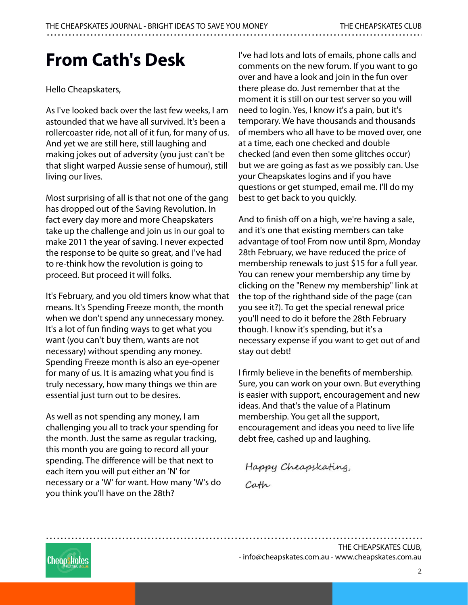## **From Cath's Desk**

Hello Cheapskaters,

As I've looked back over the last few weeks, I am astounded that we have all survived. It's been a rollercoaster ride, not all of it fun, for many of us. And yet we are still here, still laughing and making jokes out of adversity (you just can't be that slight warped Aussie sense of humour), still living our lives.

Most surprising of all is that not one of the gang has dropped out of the Saving Revolution. In fact every day more and more Cheapskaters take up the challenge and join us in our goal to make 2011 the year of saving. I never expected the response to be quite so great, and I've had to re-think how the revolution is going to proceed. But proceed it will folks.

It's February, and you old timers know what that means. It's Spending Freeze month, the month when we don't spend any unnecessary money. It's a lot of fun finding ways to get what you want (you can't buy them, wants are not necessary) without spending any money. Spending Freeze month is also an eye-opener for many of us. It is amazing what you find is truly necessary, how many things we thin are essential just turn out to be desires.

As well as not spending any money, I am challenging you all to track your spending for the month. Just the same as regular tracking, this month you are going to record all your spending. The difference will be that next to each item you will put either an 'N' for necessary or a 'W' for want. How many 'W's do you think you'll have on the 28th?

I've had lots and lots of emails, phone calls and comments on the new forum. If you want to go over and have a look and join in the fun over there please do. Just remember that at the moment it is still on our test server so you will need to login. Yes, I know it's a pain, but it's temporary. We have thousands and thousands of members who all have to be moved over, one at a time, each one checked and double checked (and even then some glitches occur) but we are going as fast as we possibly can. Use your Cheapskates logins and if you have questions or get stumped, email me. I'll do my best to get back to you quickly.

And to finish off on a high, we're having a sale, and it's one that existing members can take advantage of too! From now until 8pm, Monday 28th February, we have reduced the price of membership renewals to just \$15 for a full year. You can renew your membership any time by clicking on the "Renew my membership" link at the top of the righthand side of the page (can you see it?). To get the special renewal price you'll need to do it before the 28th February though. I know it's spending, but it's a necessary expense if you want to get out of and stay out debt!

I firmly believe in the benefits of membership. Sure, you can work on your own. But everything is easier with support, encouragement and new ideas. And that's the value of a Platinum membership. You get all the support, encouragement and ideas you need to live life debt free, cashed up and laughing.

Happy Cheapskating, Cath

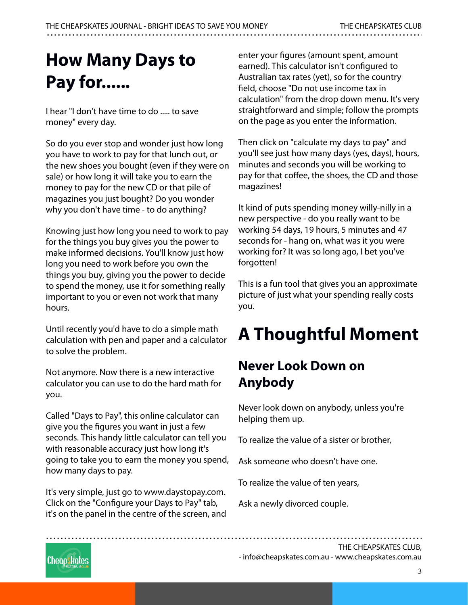## **How Many Days to Pay for......**

I hear "I don't have time to do ..... to save money" every day.

So do you ever stop and wonder just how long you have to work to pay for that lunch out, or the new shoes you bought (even if they were on sale) or how long it will take you to earn the money to pay for the new CD or that pile of magazines you just bought? Do you wonder why you don't have time - to do anything?

Knowing just how long you need to work to pay for the things you buy gives you the power to make informed decisions. You'll know just how long you need to work before you own the things you buy, giving you the power to decide to spend the money, use it for something really important to you or even not work that many hours.

Until recently you'd have to do a simple math calculation with pen and paper and a calculator to solve the problem.

Not anymore. Now there is a new interactive calculator you can use to do the hard math for you.

Called "Days to Pay", this online calculator can give you the figures you want in just a few seconds. This handy little calculator can tell you with reasonable accuracy just how long it's going to take you to earn the money you spend, how many days to pay.

It's very simple, just go to www.daystopay.com. Click on the "Configure your Days to Pay" tab, it's on the panel in the centre of the screen, and enter your figures (amount spent, amount earned). This calculator isn't configured to Australian tax rates (yet), so for the country field, choose "Do not use income tax in calculation" from the drop down menu. It's very straightforward and simple; follow the prompts on the page as you enter the information.

Then click on "calculate my days to pay" and you'll see just how many days (yes, days), hours, minutes and seconds you will be working to pay for that coffee, the shoes, the CD and those magazines!

It kind of puts spending money willy-nilly in a new perspective - do you really want to be working 54 days, 19 hours, 5 minutes and 47 seconds for - hang on, what was it you were working for? It was so long ago, I bet you've forgotten!

This is a fun tool that gives you an approximate picture of just what your spending really costs you.

## **A Thoughtful Moment**

### **Never Look Down on Anybody**

Never look down on anybody, unless you're helping them up.

To realize the value of a sister or brother,

Ask someone who doesn't have one.

To realize the value of ten years,

Ask a newly divorced couple.

**Cheopskotes** 

THE CHEAPSKATES CLUB,

- [info@cheapskates.com.au](mailto:info@cheapskates.com.au) - [www.cheapskates.com.au](http://www.cheapskates.com.au)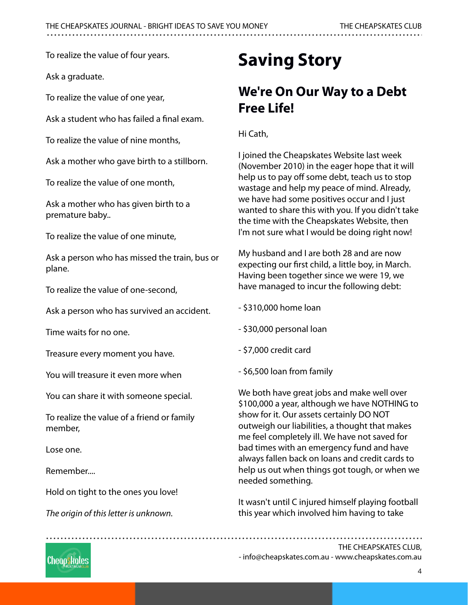To realize the value of four years.

Ask a graduate.

To realize the value of one year,

Ask a student who has failed a final exam.

To realize the value of nine months,

Ask a mother who gave birth to a stillborn.

To realize the value of one month,

Ask a mother who has given birth to a premature baby..

To realize the value of one minute,

Ask a person who has missed the train, bus or plane.

To realize the value of one-second,

Ask a person who has survived an accident.

Time waits for no one.

Treasure every moment you have.

You will treasure it even more when

You can share it with someone special.

To realize the value of a friend or family member,

Lose one.

Remember....

Hold on tight to the ones you love!

The origin of this letter is unknown.

## **Saving Story**

#### **We're On Our Way to a Debt Free Life!**

Hi Cath,

I joined the Cheapskates Website last week (November 2010) in the eager hope that it will help us to pay off some debt, teach us to stop wastage and help my peace of mind. Already, we have had some positives occur and I just wanted to share this with you. If you didn't take the time with the Cheapskates Website, then I'm not sure what I would be doing right now!

My husband and I are both 28 and are now expecting our first child, a little boy, in March. Having been together since we were 19, we have managed to incur the following debt:

- \$310,000 home loan
- \$30,000 personal loan
- \$7,000 credit card
- \$6,500 loan from family

We both have great jobs and make well over \$100,000 a year, although we have NOTHING to show for it. Our assets certainly DO NOT outweigh our liabilities, a thought that makes me feel completely ill. We have not saved for bad times with an emergency fund and have always fallen back on loans and credit cards to help us out when things got tough, or when we needed something.

It wasn't until C injured himself playing football this year which involved him having to take

- [info@cheapskates.com.au](mailto:info@cheapskates.com.au) - [www.cheapskates.com.au](http://www.cheapskates.com.au)

Cheapskates

4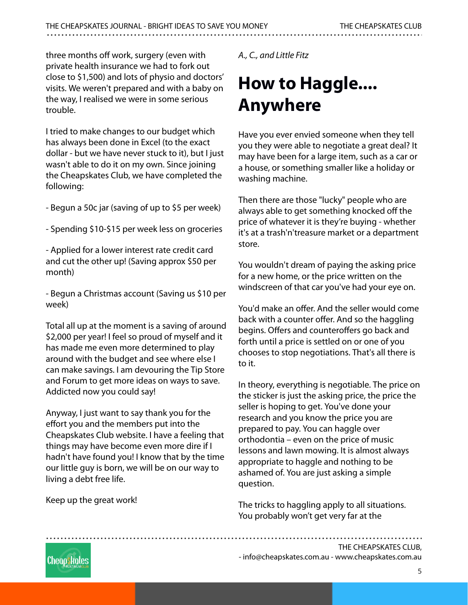three months off work, surgery (even with private health insurance we had to fork out close to \$1,500) and lots of physio and doctors' visits. We weren't prepared and with a baby on the way, I realised we were in some serious trouble.

I tried to make changes to our budget which has always been done in Excel (to the exact dollar - but we have never stuck to it), but I just wasn't able to do it on my own. Since joining the Cheapskates Club, we have completed the following:

- Begun a 50c jar (saving of up to \$5 per week)

- Spending \$10-\$15 per week less on groceries

- Applied for a lower interest rate credit card and cut the other up! (Saving approx \$50 per month)

- Begun a Christmas account (Saving us \$10 per week)

Total all up at the moment is a saving of around \$2,000 per year! I feel so proud of myself and it has made me even more determined to play around with the budget and see where else I can make savings. I am devouring the Tip Store and Forum to get more ideas on ways to save. Addicted now you could say!

Anyway, I just want to say thank you for the effort you and the members put into the Cheapskates Club website. I have a feeling that things may have become even more dire if I hadn't have found you! I know that by the time our little guy is born, we will be on our way to living a debt free life.

Keep up the great work!

A., C., and Little Fitz

## **How to Haggle.... Anywhere**

Have you ever envied someone when they tell you they were able to negotiate a great deal? It may have been for a large item, such as a car or a house, or something smaller like a holiday or washing machine.

Then there are those "lucky" people who are always able to get something knocked off the price of whatever it is they're buying - whether it's at a trash'n'treasure market or a department store.

You wouldn't dream of paying the asking price for a new home, or the price written on the windscreen of that car you've had your eye on.

You'd make an offer. And the seller would come back with a counter offer. And so the haggling begins. Offers and counteroffers go back and forth until a price is settled on or one of you chooses to stop negotiations. That's all there is to it.

In theory, everything is negotiable. The price on the sticker is just the asking price, the price the seller is hoping to get. You've done your research and you know the price you are prepared to pay. You can haggle over orthodontia – even on the price of music lessons and lawn mowing. It is almost always appropriate to haggle and nothing to be ashamed of. You are just asking a simple question.

The tricks to haggling apply to all situations. You probably won't get very far at the



- [info@cheapskates.com.au](mailto:info@cheapskates.com.au) - [www.cheapskates.com.au](http://www.cheapskates.com.au)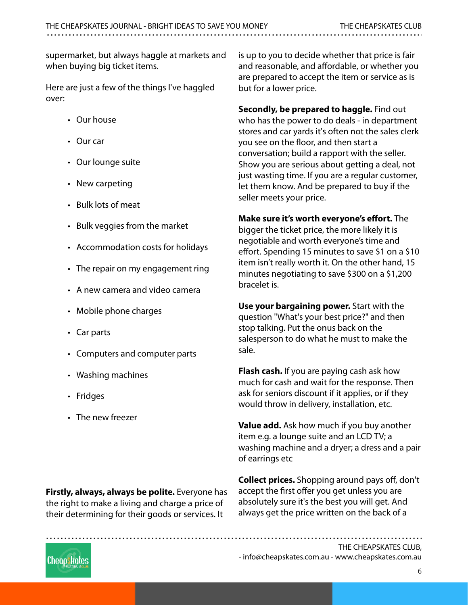supermarket, but always haggle at markets and when buying big ticket items.

Here are just a few of the things I've haggled over:

- Our house
- Our car
- Our lounge suite
- New carpeting
- Bulk lots of meat
- Bulk veggies from the market
- Accommodation costs for holidays
- The repair on my engagement ring
- A new camera and video camera
- Mobile phone charges
- Car parts
- Computers and computer parts
- Washing machines
- Fridges
- The new freezer

is up to you to decide whether that price is fair and reasonable, and affordable, or whether you are prepared to accept the item or service as is but for a lower price.

**Secondly, be prepared to haggle.** Find out who has the power to do deals - in department stores and car yards it's often not the sales clerk you see on the floor, and then start a conversation; build a rapport with the seller. Show you are serious about getting a deal, not just wasting time. If you are a regular customer, let them know. And be prepared to buy if the seller meets your price.

#### **Make sure it's worth everyone's effort.** The

bigger the ticket price, the more likely it is negotiable and worth everyone's time and effort. Spending 15 minutes to save \$1 on a \$10 item isn't really worth it. On the other hand, 15 minutes negotiating to save \$300 on a \$1,200 bracelet is.

**Use your bargaining power.** Start with the question "What's your best price?" and then stop talking. Put the onus back on the salesperson to do what he must to make the sale.

**Flash cash.** If you are paying cash ask how much for cash and wait for the response. Then ask for seniors discount if it applies, or if they would throw in delivery, installation, etc.

**Value add.** Ask how much if you buy another item e.g. a lounge suite and an LCD TV; a washing machine and a dryer; a dress and a pair of earrings etc

**Firstly, always, always be polite.** Everyone has the right to make a living and charge a price of their determining for their goods or services. It

**Collect prices.** Shopping around pays off, don't accept the first offer you get unless you are absolutely sure it's the best you will get. And always get the price written on the back of a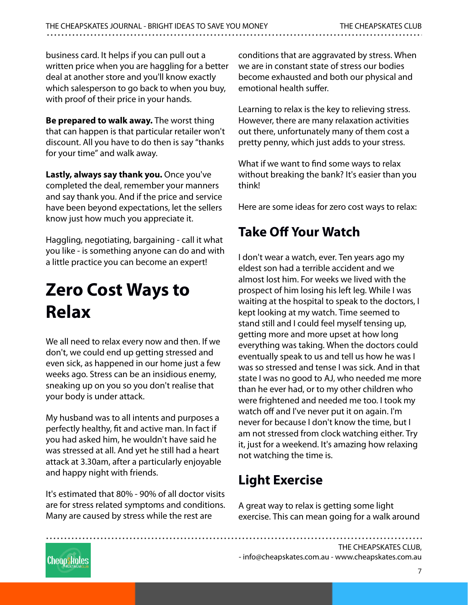business card. It helps if you can pull out a written price when you are haggling for a better deal at another store and you'll know exactly which salesperson to go back to when you buy, with proof of their price in your hands.

**Be prepared to walk away.** The worst thing that can happen is that particular retailer won't discount. All you have to do then is say "thanks for your time" and walk away.

**Lastly, always say thank you.** Once you've completed the deal, remember your manners and say thank you. And if the price and service have been beyond expectations, let the sellers know just how much you appreciate it.

Haggling, negotiating, bargaining - call it what you like - is something anyone can do and with a little practice you can become an expert!

## **Zero Cost Ways to Relax**

We all need to relax every now and then. If we don't, we could end up getting stressed and even sick, as happened in our home just a few weeks ago. Stress can be an insidious enemy, sneaking up on you so you don't realise that your body is under attack.

My husband was to all intents and purposes a perfectly healthy, fit and active man. In fact if you had asked him, he wouldn't have said he was stressed at all. And yet he still had a heart attack at 3.30am, after a particularly enjoyable and happy night with friends.

It's estimated that 80% - 90% of all doctor visits are for stress related symptoms and conditions. Many are caused by stress while the rest are

conditions that are aggravated by stress. When we are in constant state of stress our bodies become exhausted and both our physical and emotional health suffer.

Learning to relax is the key to relieving stress. However, there are many relaxation activities out there, unfortunately many of them cost a pretty penny, which just adds to your stress.

What if we want to find some ways to relax without breaking the bank? It's easier than you think!

Here are some ideas for zero cost ways to relax:

### **Take Off Your Watch**

I don't wear a watch, ever. Ten years ago my eldest son had a terrible accident and we almost lost him. For weeks we lived with the prospect of him losing his left leg. While I was waiting at the hospital to speak to the doctors, I kept looking at my watch. Time seemed to stand still and I could feel myself tensing up, getting more and more upset at how long everything was taking. When the doctors could eventually speak to us and tell us how he was I was so stressed and tense I was sick. And in that state I was no good to AJ, who needed me more than he ever had, or to my other children who were frightened and needed me too. I took my watch off and I've never put it on again. I'm never for because I don't know the time, but I am not stressed from clock watching either. Try it, just for a weekend. It's amazing how relaxing not watching the time is.

### **Light Exercise**

A great way to relax is getting some light exercise. This can mean going for a walk around

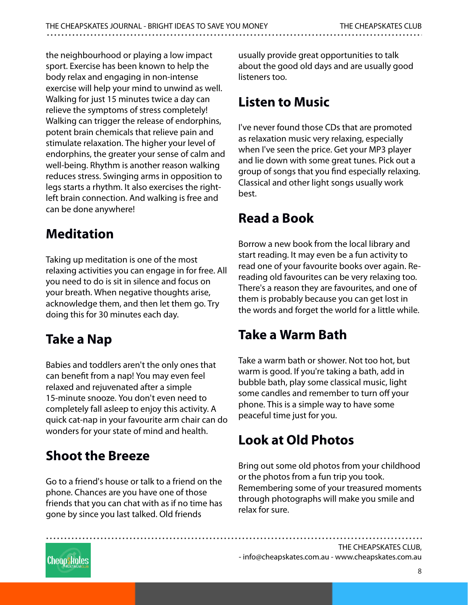the neighbourhood or playing a low impact sport. Exercise has been known to help the body relax and engaging in non-intense exercise will help your mind to unwind as well. Walking for just 15 minutes twice a day can relieve the symptoms of stress completely! Walking can trigger the release of endorphins, potent brain chemicals that relieve pain and stimulate relaxation. The higher your level of endorphins, the greater your sense of calm and well-being. Rhythm is another reason walking reduces stress. Swinging arms in opposition to legs starts a rhythm. It also exercises the rightleft brain connection. And walking is free and can be done anywhere!

### **Meditation**

Taking up meditation is one of the most relaxing activities you can engage in for free. All you need to do is sit in silence and focus on your breath. When negative thoughts arise, acknowledge them, and then let them go. Try doing this for 30 minutes each day.

### **Take a Nap**

Babies and toddlers aren't the only ones that can benefit from a nap! You may even feel relaxed and rejuvenated after a simple 15-minute snooze. You don't even need to completely fall asleep to enjoy this activity. A quick cat-nap in your favourite arm chair can do wonders for your state of mind and health.

## **Shoot the Breeze**

Go to a friend's house or talk to a friend on the phone. Chances are you have one of those friends that you can chat with as if no time has gone by since you last talked. Old friends

usually provide great opportunities to talk about the good old days and are usually good listeners too.

### **Listen to Music**

I've never found those CDs that are promoted as relaxation music very relaxing, especially when I've seen the price. Get your MP3 player and lie down with some great tunes. Pick out a group of songs that you find especially relaxing. Classical and other light songs usually work best.

### **Read a Book**

Borrow a new book from the local library and start reading. It may even be a fun activity to read one of your favourite books over again. Rereading old favourites can be very relaxing too. There's a reason they are favourites, and one of them is probably because you can get lost in the words and forget the world for a little while.

#### **Take a Warm Bath**

Take a warm bath or shower. Not too hot, but warm is good. If you're taking a bath, add in bubble bath, play some classical music, light some candles and remember to turn off your phone. This is a simple way to have some peaceful time just for you.

### **Look at Old Photos**

Bring out some old photos from your childhood or the photos from a fun trip you took. Remembering some of your treasured moments through photographs will make you smile and relax for sure.



- [info@cheapskates.com.au](mailto:info@cheapskates.com.au) - [www.cheapskates.com.au](http://www.cheapskates.com.au)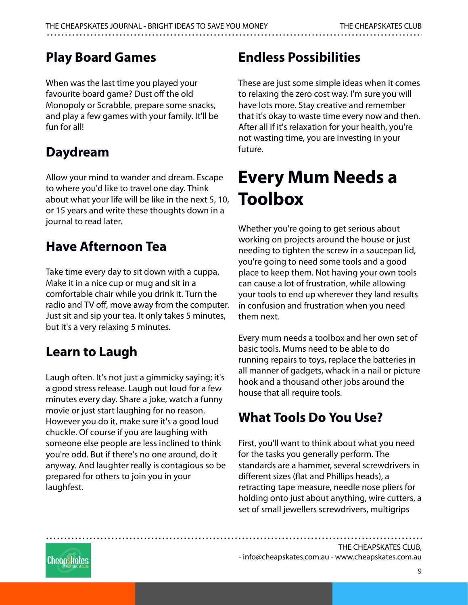#### **Play Board Games**

When was the last time you played your favourite board game? Dust off the old Monopoly or Scrabble, prepare some snacks, and play a few games with your family. It'll be fun for all!

### **Daydream**

Allow your mind to wander and dream. Escape to where you'd like to travel one day. Think about what your life will be like in the next 5, 10, or 15 years and write these thoughts down in a journal to read later.

#### **Have Afternoon Tea**

Take time every day to sit down with a cuppa. Make it in a nice cup or mug and sit in a comfortable chair while you drink it. Turn the radio and TV off, move away from the computer. Just sit and sip your tea. It only takes 5 minutes, but it's a very relaxing 5 minutes.

### **Learn to Laugh**

Laugh often. It's not just a gimmicky saying; it's a good stress release. Laugh out loud for a few minutes every day. Share a joke, watch a funny movie or just start laughing for no reason. However you do it, make sure it's a good loud chuckle. Of course if you are laughing with someone else people are less inclined to think you're odd. But if there's no one around, do it anyway. And laughter really is contagious so be prepared for others to join you in your laughfest.

## **Endless Possibilities**

These are just some simple ideas when it comes to relaxing the zero cost way. I'm sure you will have lots more. Stay creative and remember that it's okay to waste time every now and then. After all if it's relaxation for your health, you're not wasting time, you are investing in your future.

## **Every Mum Needs a Toolbox**

Whether you're going to get serious about working on projects around the house or just needing to tighten the screw in a saucepan lid, you're going to need some tools and a good place to keep them. Not having your own tools can cause a lot of frustration, while allowing your tools to end up wherever they land results in confusion and frustration when you need them next.

Every mum needs a toolbox and her own set of basic tools. Mums need to be able to do running repairs to toys, replace the batteries in all manner of gadgets, whack in a nail or picture hook and a thousand other jobs around the house that all require tools.

### **What Tools Do You Use?**

First, you'll want to think about what you need for the tasks you generally perform. The standards are a hammer, several screwdrivers in different sizes (flat and Phillips heads), a retracting tape measure, needle nose pliers for holding onto just about anything, wire cutters, a set of small jewellers screwdrivers, multigrips

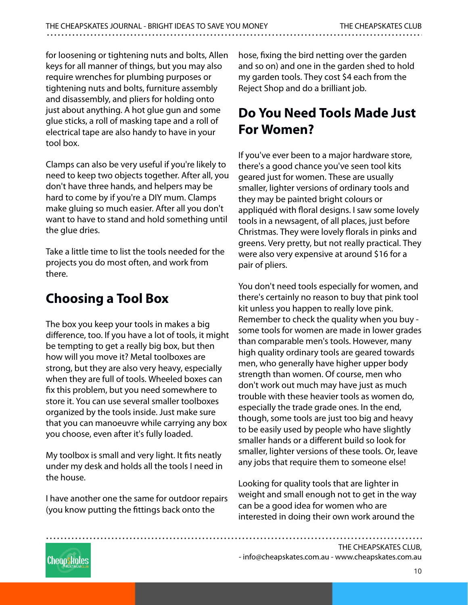for loosening or tightening nuts and bolts, Allen keys for all manner of things, but you may also require wrenches for plumbing purposes or tightening nuts and bolts, furniture assembly and disassembly, and pliers for holding onto just about anything. A hot glue gun and some glue sticks, a roll of masking tape and a roll of electrical tape are also handy to have in your tool box.

Clamps can also be very useful if you're likely to need to keep two objects together. After all, you don't have three hands, and helpers may be hard to come by if you're a DIY mum. Clamps make gluing so much easier. After all you don't want to have to stand and hold something until the glue dries.

Take a little time to list the tools needed for the projects you do most often, and work from there.

## **Choosing a Tool Box**

The box you keep your tools in makes a big difference, too. If you have a lot of tools, it might be tempting to get a really big box, but then how will you move it? Metal toolboxes are strong, but they are also very heavy, especially when they are full of tools. Wheeled boxes can fix this problem, but you need somewhere to store it. You can use several smaller toolboxes organized by the tools inside. Just make sure that you can manoeuvre while carrying any box you choose, even after it's fully loaded.

My toolbox is small and very light. It fits neatly under my desk and holds all the tools I need in the house.

I have another one the same for outdoor repairs (you know putting the fittings back onto the

hose, fixing the bird netting over the garden and so on) and one in the garden shed to hold my garden tools. They cost \$4 each from the Reject Shop and do a brilliant job.

#### **Do You Need Tools Made Just For Women?**

If you've ever been to a major hardware store, there's a good chance you've seen tool kits geared just for women. These are usually smaller, lighter versions of ordinary tools and they may be painted bright colours or appliquéd with floral designs. I saw some lovely tools in a newsagent, of all places, just before Christmas. They were lovely florals in pinks and greens. Very pretty, but not really practical. They were also very expensive at around \$16 for a pair of pliers.

You don't need tools especially for women, and there's certainly no reason to buy that pink tool kit unless you happen to really love pink. Remember to check the quality when you buy some tools for women are made in lower grades than comparable men's tools. However, many high quality ordinary tools are geared towards men, who generally have higher upper body strength than women. Of course, men who don't work out much may have just as much trouble with these heavier tools as women do, especially the trade grade ones. In the end, though, some tools are just too big and heavy to be easily used by people who have slightly smaller hands or a different build so look for smaller, lighter versions of these tools. Or, leave any jobs that require them to someone else!

Looking for quality tools that are lighter in weight and small enough not to get in the way can be a good idea for women who are interested in doing their own work around the



- [info@cheapskates.com.au](mailto:info@cheapskates.com.au) - [www.cheapskates.com.au](http://www.cheapskates.com.au)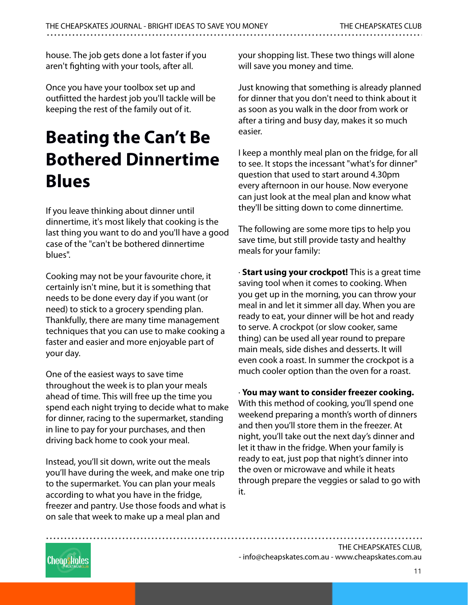house. The job gets done a lot faster if you aren't fighting with your tools, after all.

Once you have your toolbox set up and outfiitted the hardest job you'll tackle will be keeping the rest of the family out of it.

## **Beating the Can't Be Bothered Dinnertime Blues**

If you leave thinking about dinner until dinnertime, it's most likely that cooking is the last thing you want to do and you'll have a good case of the "can't be bothered dinnertime blues".

Cooking may not be your favourite chore, it certainly isn't mine, but it is something that needs to be done every day if you want (or need) to stick to a grocery spending plan. Thankfully, there are many time management techniques that you can use to make cooking a faster and easier and more enjoyable part of your day.

One of the easiest ways to save time throughout the week is to plan your meals ahead of time. This will free up the time you spend each night trying to decide what to make for dinner, racing to the supermarket, standing in line to pay for your purchases, and then driving back home to cook your meal.

Instead, you'll sit down, write out the meals you'll have during the week, and make one trip to the supermarket. You can plan your meals according to what you have in the fridge, freezer and pantry. Use those foods and what is on sale that week to make up a meal plan and

your shopping list. These two things will alone will save you money and time.

Just knowing that something is already planned for dinner that you don't need to think about it as soon as you walk in the door from work or after a tiring and busy day, makes it so much easier.

I keep a monthly meal plan on the fridge, for all to see. It stops the incessant "what's for dinner" question that used to start around 4.30pm every afternoon in our house. Now everyone can just look at the meal plan and know what they'll be sitting down to come dinnertime.

The following are some more tips to help you save time, but still provide tasty and healthy meals for your family:

· **Start using your crockpot!** This is a great time saving tool when it comes to cooking. When you get up in the morning, you can throw your meal in and let it simmer all day. When you are ready to eat, your dinner will be hot and ready to serve. A crockpot (or slow cooker, same thing) can be used all year round to prepare main meals, side dishes and desserts. It will even cook a roast. In summer the crockpot is a much cooler option than the oven for a roast.

· **You may want to consider freezer cooking.** With this method of cooking, you'll spend one weekend preparing a month's worth of dinners and then you'll store them in the freezer. At night, you'll take out the next day's dinner and let it thaw in the fridge. When your family is ready to eat, just pop that night's dinner into the oven or microwave and while it heats through prepare the veggies or salad to go with it.

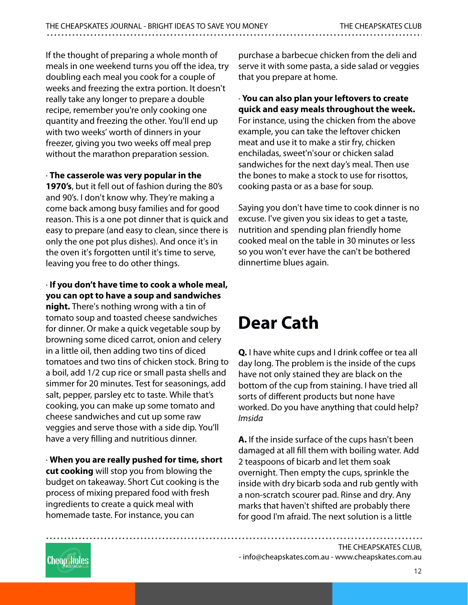If the thought of preparing a whole month of meals in one weekend turns you off the idea, try doubling each meal you cook for a couple of weeks and freezing the extra portion. It doesn't really take any longer to prepare a double recipe, remember you're only cooking one quantity and freezing the other. You'll end up with two weeks' worth of dinners in your freezer, giving you two weeks off meal prep without the marathon preparation session.

· **The casserole was very popular in the**

**1970's**, but it fell out of fashion during the 80's and 90's. I don't know why. They're making a come back among busy families and for good reason. This is a one pot dinner that is quick and easy to prepare (and easy to clean, since there is only the one pot plus dishes). And once it's in the oven it's forgotten until it's time to serve, leaving you free to do other things.

#### · **If you don't have time to cook a whole meal, you can opt to have a soup and sandwiches**

**night.** There's nothing wrong with a tin of tomato soup and toasted cheese sandwiches for dinner. Or make a quick vegetable soup by browning some diced carrot, onion and celery in a little oil, then adding two tins of diced tomatoes and two tins of chicken stock. Bring to a boil, add 1/2 cup rice or small pasta shells and simmer for 20 minutes. Test for seasonings, add salt, pepper, parsley etc to taste. While that's cooking, you can make up some tomato and cheese sandwiches and cut up some raw veggies and serve those with a side dip. You'll have a very filling and nutritious dinner.

· **When you are really pushed for time, short cut cooking** will stop you from blowing the budget on takeaway. Short Cut cooking is the process of mixing prepared food with fresh ingredients to create a quick meal with homemade taste. For instance, you can

purchase a barbecue chicken from the deli and serve it with some pasta, a side salad or veggies that you prepare at home.

#### · **You can also plan your leftovers to create quick and easy meals throughout the week.**

For instance, using the chicken from the above example, you can take the leftover chicken meat and use it to make a stir fry, chicken enchiladas, sweet'n'sour or chicken salad sandwiches for the next day's meal. Then use the bones to make a stock to use for risottos, cooking pasta or as a base for soup.

Saying you don't have time to cook dinner is no excuse. I've given you six ideas to get a taste, nutrition and spending plan friendly home cooked meal on the table in 30 minutes or less so you won't ever have the can't be bothered dinnertime blues again.

## **Dear Cath**

**Q.** I have white cups and I drink coffee or tea all day long. The problem is the inside of the cups have not only stained they are black on the bottom of the cup from staining. I have tried all sorts of different products but none have worked. Do you have anything that could help? Imsida

**A.** If the inside surface of the cups hasn't been damaged at all fill them with boiling water. Add 2 teaspoons of bicarb and let them soak overnight. Then empty the cups, sprinkle the inside with dry bicarb soda and rub gently with a non-scratch scourer pad. Rinse and dry. Any marks that haven't shifted are probably there for good I'm afraid. The next solution is a little

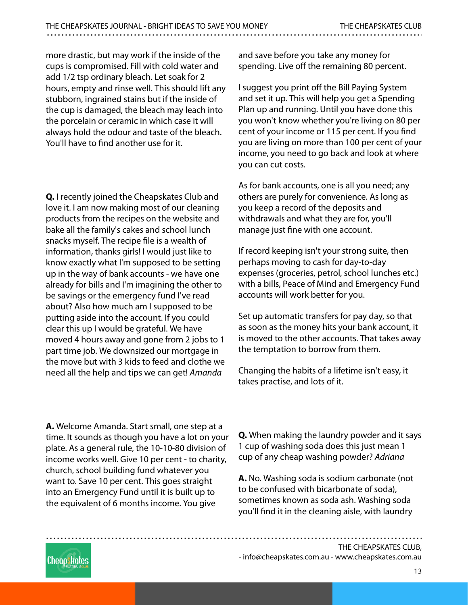more drastic, but may work if the inside of the cups is compromised. Fill with cold water and add 1/2 tsp ordinary bleach. Let soak for 2 hours, empty and rinse well. This should lift any stubborn, ingrained stains but if the inside of the cup is damaged, the bleach may leach into the porcelain or ceramic in which case it will always hold the odour and taste of the bleach. You'll have to find another use for it.

**Q.** I recently joined the Cheapskates Club and love it. I am now making most of our cleaning products from the recipes on the website and bake all the family's cakes and school lunch snacks myself. The recipe file is a wealth of information, thanks girls! I would just like to know exactly what I'm supposed to be setting up in the way of bank accounts - we have one already for bills and I'm imagining the other to be savings or the emergency fund I've read about? Also how much am I supposed to be putting aside into the account. If you could clear this up I would be grateful. We have moved 4 hours away and gone from 2 jobs to 1 part time job. We downsized our mortgage in the move but with 3 kids to feed and clothe we need all the help and tips we can get! Amanda

**A.** Welcome Amanda. Start small, one step at a time. It sounds as though you have a lot on your plate. As a general rule, the 10-10-80 division of income works well. Give 10 per cent - to charity, church, school building fund whatever you want to. Save 10 per cent. This goes straight into an Emergency Fund until it is built up to the equivalent of 6 months income. You give

and save before you take any money for spending. Live off the remaining 80 percent.

I suggest you print off the Bill Paying System and set it up. This will help you get a Spending Plan up and running. Until you have done this you won't know whether you're living on 80 per cent of your income or 115 per cent. If you find you are living on more than 100 per cent of your income, you need to go back and look at where you can cut costs.

As for bank accounts, one is all you need; any others are purely for convenience. As long as you keep a record of the deposits and withdrawals and what they are for, you'll manage just fine with one account.

If record keeping isn't your strong suite, then perhaps moving to cash for day-to-day expenses (groceries, petrol, school lunches etc.) with a bills, Peace of Mind and Emergency Fund accounts will work better for you.

Set up automatic transfers for pay day, so that as soon as the money hits your bank account, it is moved to the other accounts. That takes away the temptation to borrow from them.

Changing the habits of a lifetime isn't easy, it takes practise, and lots of it.

**Q.** When making the laundry powder and it says 1 cup of washing soda does this just mean 1 cup of any cheap washing powder? Adriana

**A.** No. Washing soda is sodium carbonate (not to be confused with bicarbonate of soda), sometimes known as soda ash. Washing soda you'll find it in the cleaning aisle, with laundry

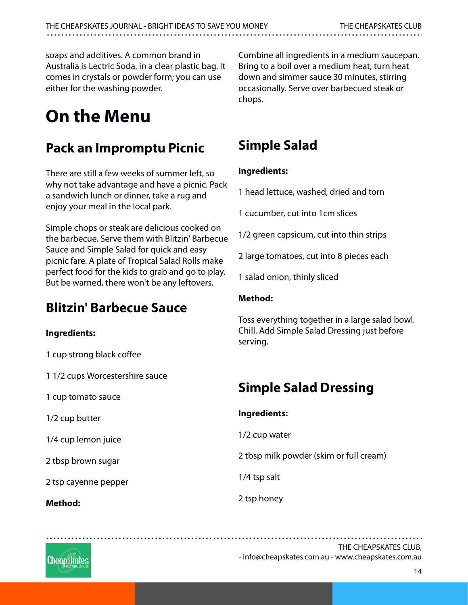soaps and additives. A common brand in Australia is Lectric Soda, in a clear plastic bag. It comes in crystals or powder form; you can use either for the washing powder.

## **On the Menu**

#### **Pack an Impromptu Picnic**

There are still a few weeks of summer left, so why not take advantage and have a picnic. Pack a sandwich lunch or dinner, take a rug and enjoy your meal in the local park.

Simple chops or steak are delicious cooked on the barbecue. Serve them with Blitzin' Barbecue Sauce and Simple Salad for quick and easy picnic fare. A plate of Tropical Salad Rolls make perfect food for the kids to grab and go to play. But be warned, there won't be any leftovers.

#### **Blitzin' Barbecue Sauce**

#### **Ingredients:**

1 cup strong black coffee

1 1/2 cups Worcestershire sauce

1 cup tomato sauce

1/2 cup butter

1/4 cup lemon juice

2 tbsp brown sugar

2 tsp cayenne pepper

**Method:**

Combine all ingredients in a medium saucepan. Bring to a boil over a medium heat, turn heat down and simmer sauce 30 minutes, stirring occasionally. Serve over barbecued steak or chops.

### **Simple Salad**

#### **Ingredients:**

1 head lettuce, washed, dried and torn

1 cucumber, cut into 1cm slices

1/2 green capsicum, cut into thin strips

2 large tomatoes, cut into 8 pieces each

1 salad onion, thinly sliced

#### **Method:**

Toss everything together in a large salad bowl. Chill. Add Simple Salad Dressing just before serving.

## **Simple Salad Dressing**

| Ingredients:                            |
|-----------------------------------------|
| 1/2 cup water                           |
| 2 tbsp milk powder (skim or full cream) |
| 1/4 tsp salt                            |
| 2 tsp honey                             |

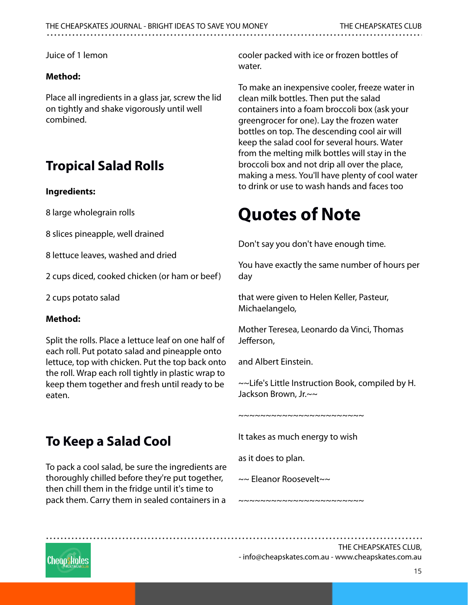Juice of 1 lemon

#### **Method:**

Place all ingredients in a glass jar, screw the lid on tightly and shake vigorously until well combined.

#### **Tropical Salad Rolls**

#### **Ingredients:**

8 large wholegrain rolls

8 slices pineapple, well drained

8 lettuce leaves, washed and dried

2 cups diced, cooked chicken (or ham or beef)

2 cups potato salad

#### **Method:**

Split the rolls. Place a lettuce leaf on one half of each roll. Put potato salad and pineapple onto lettuce, top with chicken. Put the top back onto the roll. Wrap each roll tightly in plastic wrap to keep them together and fresh until ready to be eaten.

#### **To Keep a Salad Cool**

To pack a cool salad, be sure the ingredients are thoroughly chilled before they're put together, then chill them in the fridge until it's time to pack them. Carry them in sealed containers in a cooler packed with ice or frozen bottles of water.

To make an inexpensive cooler, freeze water in clean milk bottles. Then put the salad containers into a foam broccoli box (ask your greengrocer for one). Lay the frozen water bottles on top. The descending cool air will keep the salad cool for several hours. Water from the melting milk bottles will stay in the broccoli box and not drip all over the place, making a mess. You'll have plenty of cool water to drink or use to wash hands and faces too

## **Quotes of Note**

Don't say you don't have enough time.

You have exactly the same number of hours per day

that were given to Helen Keller, Pasteur, Michaelangelo,

Mother Teresea, Leonardo da Vinci, Thomas Jefferson,

and Albert Einstein.

~~Life's Little Instruction Book, compiled by H. Jackson Brown, Jr.~~

~~~~~~~~~~~~~~~~~~~~

It takes as much energy to wish

~~~~~~~~~~~~~~~~~~~~~~~

as it does to plan.

~~ Eleanor Roosevelt~~

Cheapskates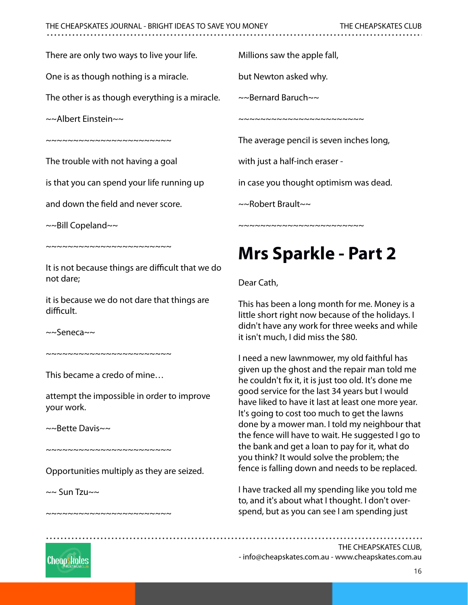There are only two ways to live your life.

One is as though nothing is a miracle.

The other is as though everything is a miracle.

~~Albert Einstein~~

~~~~~~~~~~~~~~~~~~~~~

The trouble with not having a goal

is that you can spend your life running up

and down the field and never score.

 $\sim$ -Bill Copeland $\sim$ 

~~~~~~~~~~~~~~~~~~~~~~~

It is not because things are difficult that we do not dare;

it is because we do not dare that things are difficult.

~~Seneca~~

 $~\sim$   $~\sim$   $~\sim$   $~\sim$   $~\sim$   $~\sim$   $~\sim$   $~\sim$   $~\sim$   $~\sim$   $~\sim$   $~\sim$   $~\sim$   $~\sim$   $~\sim$   $~\sim$   $~\sim$   $~\sim$   $~\sim$   $~\sim$   $~\sim$   $~\sim$   $~\sim$   $~\sim$   $~\sim$   $~\sim$   $~\sim$   $~\sim$   $~\sim$   $~\sim$   $~\sim$   $~\sim$   $~\sim$   $~\sim$   $~\sim$   $~\sim$   $~\sim$ 

This became a credo of mine…

attempt the impossible in order to improve your work.

~~Bette Davis~~

Opportunities multiply as they are seized.

~~~~~~~~~~~~~~~~~~~~~~~

~~~~~~~~~~~~~~~~~~~~~~

 $\sim$  Sun Tzu $\sim$ 

Millions saw the apple fall,

but Newton asked why.

~~Bernard Baruch~~

~~~~~~~~~~~~~~~~~~~~~~~

The average pencil is seven inches long,

with just a half-inch eraser -

in case you thought optimism was dead.

~~Robert Brault~~

~~~~~~~~~~~~~~~~~~~~~~~

## **Mrs Sparkle - Part 2**

Dear Cath,

This has been a long month for me. Money is a little short right now because of the holidays. I didn't have any work for three weeks and while it isn't much, I did miss the \$80.

I need a new lawnmower, my old faithful has given up the ghost and the repair man told me he couldn't fix it, it is just too old. It's done me good service for the last 34 years but I would have liked to have it last at least one more year. It's going to cost too much to get the lawns done by a mower man. I told my neighbour that the fence will have to wait. He suggested I go to the bank and get a loan to pay for it, what do you think? It would solve the problem; the fence is falling down and needs to be replaced.

I have tracked all my spending like you told me to, and it's about what I thought. I don't overspend, but as you can see I am spending just

- [info@cheapskates.com.au](mailto:info@cheapskates.com.au) - [www.cheapskates.com.au](http://www.cheapskates.com.au)

Cheapskates

16

THE CHEAPSKATES CLUB,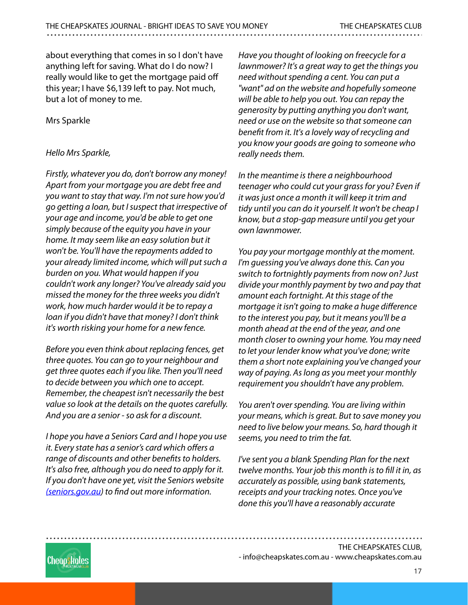about everything that comes in so I don't have anything left for saving. What do I do now? I really would like to get the mortgage paid off this year; I have \$6,139 left to pay. Not much, but a lot of money to me.

#### Mrs Sparkle

#### Hello Mrs Sparkle,

Firstly, whatever you do, don't borrow any money! Apart from your mortgage you are debt free and you want to stay that way. I'm not sure how you'd go getting a loan, but I suspect that irrespective of your age and income, you'd be able to get one simply because of the equity you have in your home. It may seem like an easy solution but it won't be. You'll have the repayments added to your already limited income, which will put such a burden on you. What would happen if you couldn't work any longer? You've already said you missed the money for the three weeks you didn't work, how much harder would it be to repay a loan if you didn't have that money? I don't think it's worth risking your home for a new fence.

Before you even think about replacing fences, get three quotes. You can go to your neighbour and get three quotes each if you like. Then you'll need to decide between you which one to accept. Remember, the cheapest isn't necessarily the best value so look at the details on the quotes carefully. And you are a senior - so ask for a discount.

I hope you have a Seniors Card and I hope you use it. Every state has a senior's card which offers a range of discounts and other benefits to holders. It's also free, although you do need to apply for it. If you don't have one yet, visit the Seniors website [\(seniors.gov.au](http://(seniors.gov.au)) to find out more information.

Have you thought of looking on freecycle for a lawnmower? It's a great way to get the things you need without spending a cent. You can put a "want" ad on the website and hopefully someone will be able to help you out. You can repay the generosity by putting anything you don't want, need or use on the website so that someone can benefit from it. It's a lovely way of recycling and you know your goods are going to someone who really needs them.

In the meantime is there a neighbourhood teenager who could cut your grass for you? Even if it was just once a month it will keep it trim and tidy until you can do it yourself. It won't be cheap I know, but a stop-gap measure until you get your own lawnmower.

You pay your mortgage monthly at the moment. I'm guessing you've always done this. Can you switch to fortnightly payments from now on? Just divide your monthly payment by two and pay that amount each fortnight. At this stage of the mortgage it isn't going to make a huge difference to the interest you pay, but it means you'll be a month ahead at the end of the year, and one month closer to owning your home. You may need to let your lender know what you've done; write them a short note explaining you've changed your way of paying. As long as you meet your monthly requirement you shouldn't have any problem.

You aren't over spending. You are living within your means, which is great. But to save money you need to live below your means. So, hard though it seems, you need to trim the fat.

I've sent you a blank Spending Plan for the next twelve months. Your job this month is to fill it in, as accurately as possible, using bank statements, receipts and your tracking notes. Once you've done this you'll have a reasonably accurate

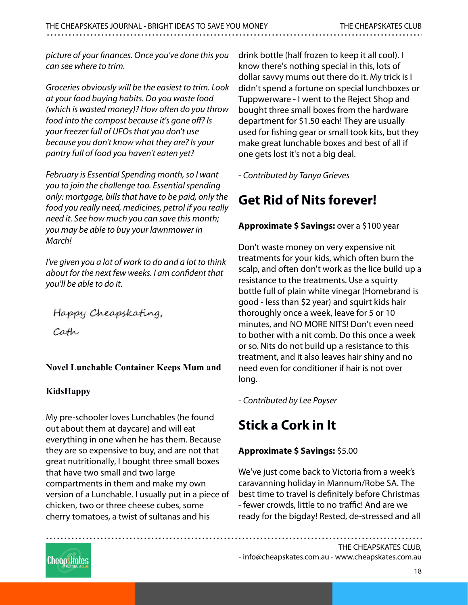picture of your finances. Once you've done this you can see where to trim.

Groceries obviously will be the easiest to trim. Look at your food buying habits. Do you waste food (which is wasted money)? How often do you throw food into the compost because it's gone off? Is your freezer full of UFOs that you don't use because you don't know what they are? Is your pantry full of food you haven't eaten yet?

February is Essential Spending month, so I want you to join the challenge too. Essential spending only: mortgage, bills that have to be paid, only the food you really need, medicines, petrol if you really need it. See how much you can save this month; you may be able to buy your lawnmower in March!

I've given you a lot of work to do and a lot to think about for the next few weeks. I am confident that you'll be able to do it.

Happy Cheapskating,

Cath

#### **Novel Lunchable Container Keeps Mum and**

#### **KidsHappy**

My pre-schooler loves Lunchables (he found out about them at daycare) and will eat everything in one when he has them. Because they are so expensive to buy, and are not that great nutritionally, I bought three small boxes that have two small and two large compartments in them and make my own version of a Lunchable. I usually put in a piece of chicken, two or three cheese cubes, some cherry tomatoes, a twist of sultanas and his

drink bottle (half frozen to keep it all cool). I know there's nothing special in this, lots of dollar savvy mums out there do it. My trick is I didn't spend a fortune on special lunchboxes or Tuppwerware - I went to the Reject Shop and bought three small boxes from the hardware department for \$1.50 each! They are usually used for fishing gear or small took kits, but they make great lunchable boxes and best of all if one gets lost it's not a big deal.

- Contributed by Tanya Grieves

### **Get Rid of Nits forever!**

#### **Approximate \$ Savings:** over a \$100 year

Don't waste money on very expensive nit treatments for your kids, which often burn the scalp, and often don't work as the lice build up a resistance to the treatments. Use a squirty bottle full of plain white vinegar (Homebrand is good - less than \$2 year) and squirt kids hair thoroughly once a week, leave for 5 or 10 minutes, and NO MORE NITS! Don't even need to bother with a nit comb. Do this once a week or so. Nits do not build up a resistance to this treatment, and it also leaves hair shiny and no need even for conditioner if hair is not over long.

- Contributed by Lee Poyser

### **Stick a Cork in It**

#### **Approximate \$ Savings:** \$5.00

We've just come back to Victoria from a week's caravanning holiday in Mannum/Robe SA. The best time to travel is definitely before Christmas - fewer crowds, little to no traffic! And are we ready for the bigday! Rested, de-stressed and all

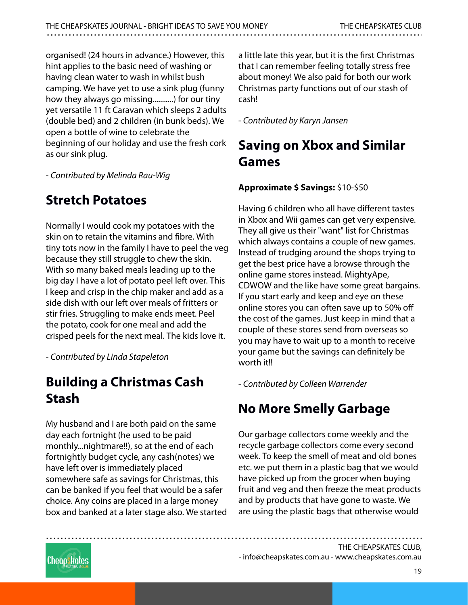organised! (24 hours in advance.) However, this hint applies to the basic need of washing or having clean water to wash in whilst bush camping. We have yet to use a sink plug (funny how they always go missing...........) for our tiny yet versatile 11 ft Caravan which sleeps 2 adults (double bed) and 2 children (in bunk beds). We open a bottle of wine to celebrate the beginning of our holiday and use the fresh cork as our sink plug.

- Contributed by Melinda Rau-Wig

## **Stretch Potatoes**

Normally I would cook my potatoes with the skin on to retain the vitamins and fibre. With tiny tots now in the family I have to peel the veg because they still struggle to chew the skin. With so many baked meals leading up to the big day I have a lot of potato peel left over. This I keep and crisp in the chip maker and add as a side dish with our left over meals of fritters or stir fries. Struggling to make ends meet. Peel the potato, cook for one meal and add the crisped peels for the next meal. The kids love it.

- Contributed by Linda Stapeleton

### **Building a Christmas Cash Stash**

My husband and I are both paid on the same day each fortnight (he used to be paid monthly...nightmare!!), so at the end of each fortnightly budget cycle, any cash(notes) we have left over is immediately placed somewhere safe as savings for Christmas, this can be banked if you feel that would be a safer choice. Any coins are placed in a large money box and banked at a later stage also. We started a little late this year, but it is the first Christmas that I can remember feeling totally stress free about money! We also paid for both our work Christmas party functions out of our stash of cash!

- Contributed by Karyn Jansen

### **Saving on Xbox and Similar Games**

#### **Approximate \$ Savings:** \$10-\$50

Having 6 children who all have different tastes in Xbox and Wii games can get very expensive. They all give us their "want" list for Christmas which always contains a couple of new games. Instead of trudging around the shops trying to get the best price have a browse through the online game stores instead. MightyApe, CDWOW and the like have some great bargains. If you start early and keep and eye on these online stores you can often save up to 50% off the cost of the games. Just keep in mind that a couple of these stores send from overseas so you may have to wait up to a month to receive your game but the savings can definitely be worth it!!

- Contributed by Colleen Warrender

### **No More Smelly Garbage**

Our garbage collectors come weekly and the recycle garbage collectors come every second week. To keep the smell of meat and old bones etc. we put them in a plastic bag that we would have picked up from the grocer when buying fruit and veg and then freeze the meat products and by products that have gone to waste. We are using the plastic bags that otherwise would